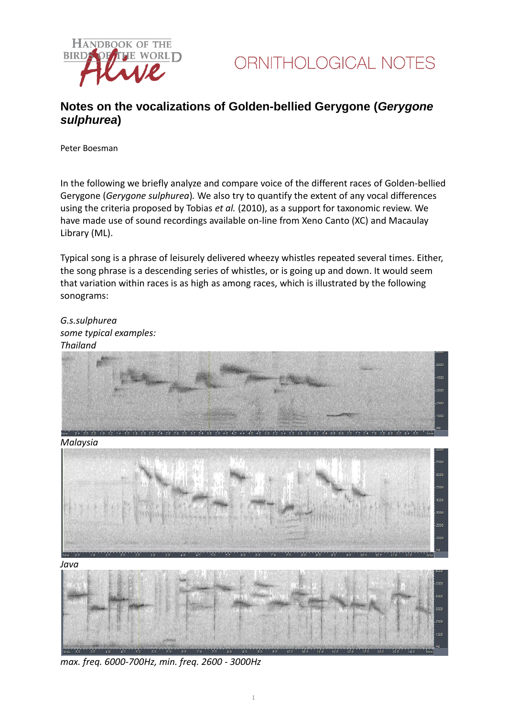



## **Notes on the vocalizations of Golden-bellied Gerygone (***Gerygone sulphurea***)**

Peter Boesman

In the following we briefly analyze and compare voice of the different races of Golden-bellied Gerygone (*Gerygone sulphurea*)*.* We also try to quantify the extent of any vocal differences using the criteria proposed by Tobias *et al.* (2010), as a support for taxonomic review. We have made use of sound recordings available on-line from Xeno Canto (XC) and Macaulay Library (ML).

Typical song is a phrase of leisurely delivered wheezy whistles repeated several times. Either, the song phrase is a descending series of whistles, or is going up and down. It would seem that variation within races is as high as among races, which is illustrated by the following sonograms:

*G.s.sulphurea some typical examples: Thailand*



*Malaysia*



*Java*



*max. freq. 6000-700Hz, min. freq. 2600 - 3000Hz*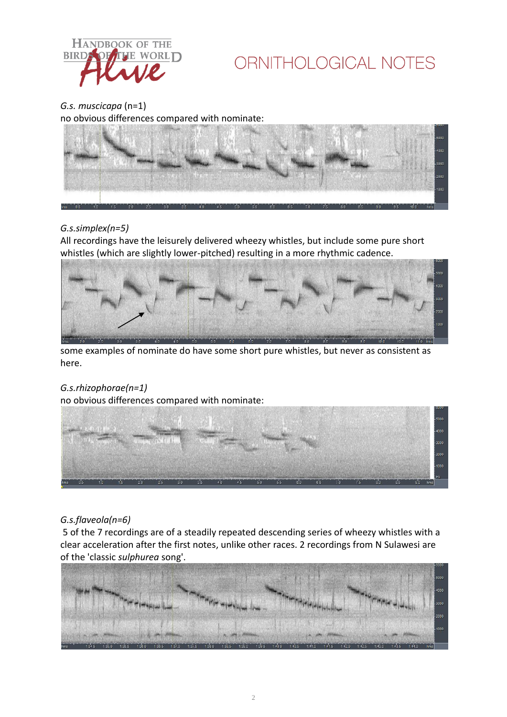

# ORNITHOLOGICAL NOTES

*G.s. muscicapa* (n=1) no obvious differences compared with nominate:



### *G.s.simplex(n=5)*

All recordings have the leisurely delivered wheezy whistles, but include some pure short whistles (which are slightly lower-pitched) resulting in a more rhythmic cadence.



some examples of nominate do have some short pure whistles, but never as consistent as here.

### *G.s.rhizophorae(n=1)*

no obvious differences compared with nominate:



### *G.s.flaveola(n=6)*

5 of the 7 recordings are of a steadily repeated descending series of wheezy whistles with a clear acceleration after the first notes, unlike other races. 2 recordings from N Sulawesi are of the 'classic *sulphurea* song'.